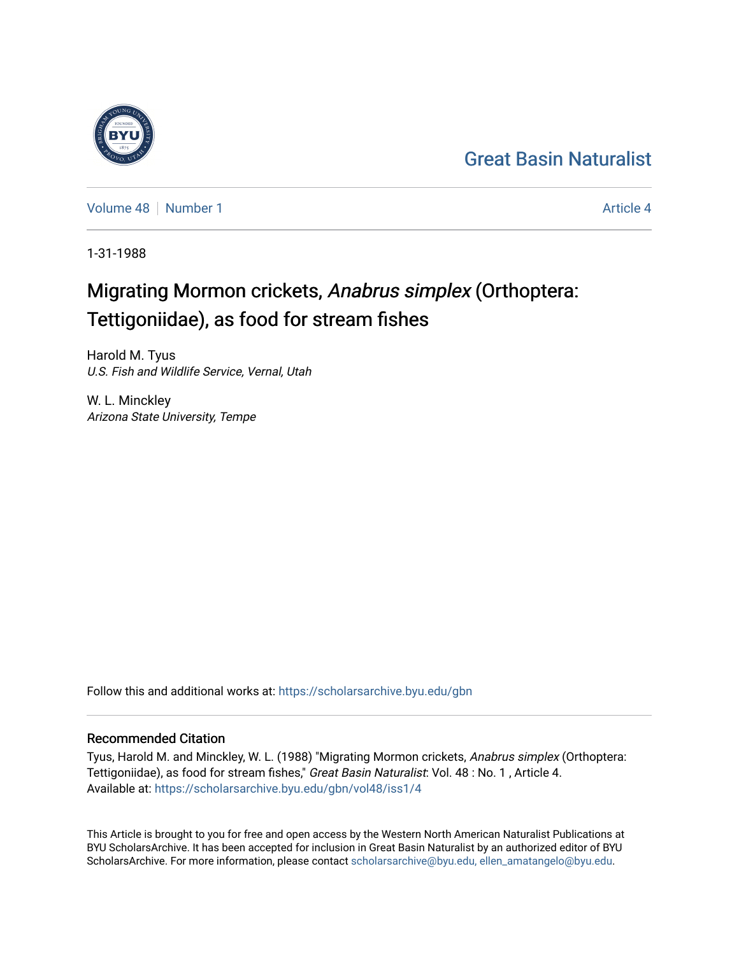## [Great Basin Naturalist](https://scholarsarchive.byu.edu/gbn)

[Volume 48](https://scholarsarchive.byu.edu/gbn/vol48) [Number 1](https://scholarsarchive.byu.edu/gbn/vol48/iss1) [Article 4](https://scholarsarchive.byu.edu/gbn/vol48/iss1/4) Article 4 Article 4

1-31-1988

# Migrating Mormon crickets, Anabrus simplex (Orthoptera: Tettigoniidae), as food for stream fishes

Harold M. Tyus U.S. Fish and Wildlife Service, Vernal, Utah

W. L. Minckley Arizona State University, Tempe

Follow this and additional works at: [https://scholarsarchive.byu.edu/gbn](https://scholarsarchive.byu.edu/gbn?utm_source=scholarsarchive.byu.edu%2Fgbn%2Fvol48%2Fiss1%2F4&utm_medium=PDF&utm_campaign=PDFCoverPages) 

### Recommended Citation

Tyus, Harold M. and Minckley, W. L. (1988) "Migrating Mormon crickets, Anabrus simplex (Orthoptera: Tettigoniidae), as food for stream fishes," Great Basin Naturalist: Vol. 48 : No. 1 , Article 4. Available at: [https://scholarsarchive.byu.edu/gbn/vol48/iss1/4](https://scholarsarchive.byu.edu/gbn/vol48/iss1/4?utm_source=scholarsarchive.byu.edu%2Fgbn%2Fvol48%2Fiss1%2F4&utm_medium=PDF&utm_campaign=PDFCoverPages)

This Article is brought to you for free and open access by the Western North American Naturalist Publications at BYU ScholarsArchive. It has been accepted for inclusion in Great Basin Naturalist by an authorized editor of BYU ScholarsArchive. For more information, please contact [scholarsarchive@byu.edu, ellen\\_amatangelo@byu.edu.](mailto:scholarsarchive@byu.edu,%20ellen_amatangelo@byu.edu)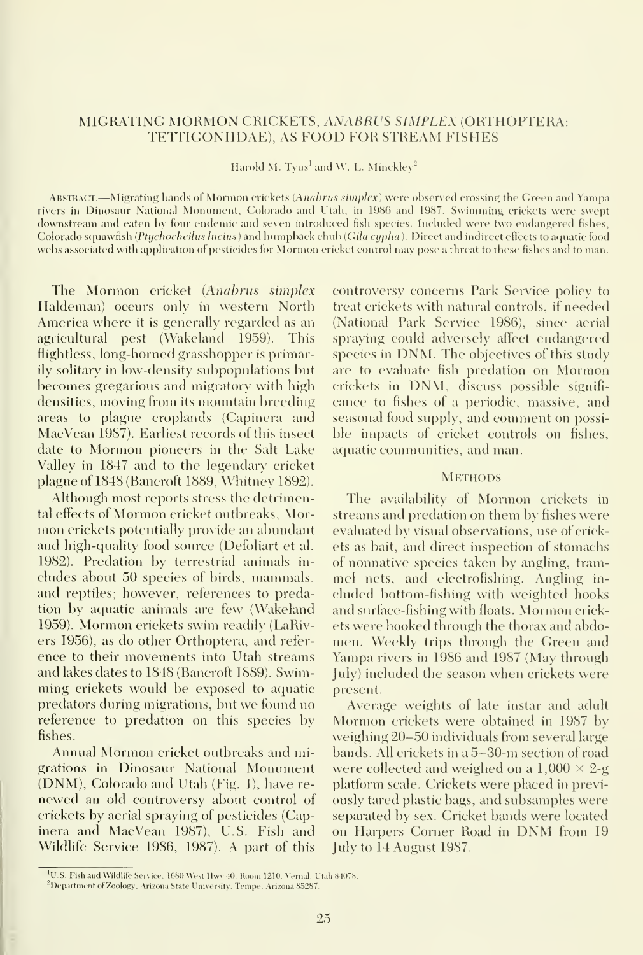### MIGRATING MORMON GRICKETS, ANABRUS SIMPLEX (ORTHOPTERA: TETTIGONIIDAE), AS FOOD FOR STREAM FISHES

Harold M. Tyus<sup>1</sup> and W. L. Minckley<sup>2</sup>

ABSTRACT.—Migrating hands of Mormon crickets (Anahrus simplex) were observed crossing the Green and Yampa rivers in Dinosaur National Monument, Colorado and Utah, in 1986 and 1987. Swimming crickets were swept downstream and eaten by four endemic and seven introduced fish species. Included were two endangered fishes, Colorado squawfish (Ptychocheilus lucius) and humpback chub (Gila cypha). Direct and indirect effects to aquatic food webs associated with application of pesticides for Mormon cricket control may pose a threat to these fishes and to man.

The Mormon cricket {Anahrus simplex Haldeman) occurs only in western North America where it is generally regarded as an agricultural pest (Wakeland 1959). This flightless, long-horned grasshopper is primarily solitary in low-density subpopulations but becomes gregarious and migratory with high densities, moving from its mountain breeding areas to plague croplands (Gapinera and MacVean 1987). Earliest records of this insect date to Mormon pioneers in the Salt Lake Valley in 1847 and to the legendary cricket plague of 1848 (Bancroft 1889, Whitney 1892).

Although most reports stress the detrimental effects of Mormon cricket outbreaks. Mormon crickets potentially provide an abundant and high-quality food source (Defoliart et al. 1982). Predation by terrestrial animals in cludes about 50 species of birds, mammals, and reptiles; however, references to predation by aquatic animals are few (Wakeland 1959). Mormon crickets swim readily (LaRivers 1956), as do other Orthoptera, and refer ence to their movements into Utah streams and lakes dates to 1848 (Bancroft 1889). Swimming crickets would be exposed to aquatic predators during migrations, but we found no reference to predation on this species by fishes.

Annual Mormon cricket outbreaks and migrations in Dinosaur National Monument (DNM), Golorado and Utah (Fig. 1), have re newed an old controversy about control of crickets by aerial spraying of pesticides (Gapinera and MacVean 1987), U.S. Fish and Wildlife Service 1986, 1987). A part of this

controversy concerns Park Service policy to treat crickets with natural controls, if needed (National Park Service 1986), since aerial spraying could adversely affect endangered species in DNM. The objectives of this study are to evaluate fish predation on Mormon crickets in DNM, discuss possible signifi cance to fishes of a periodic, massive, and seasonal food supply, and comment on possible impacts of cricket controls on fishes, aquatic communities, and man.

#### **METHODS**

The availability of Mormon crickets in streams and predation on them by fishes were evaluated by visual observations, use of crickets as bait, and direct inspection of stomachs of nonnative species taken by angling, tram mel nets, and electrofishing. Angling in cluded bottom-fishing with weighted hooks and surface-fishing with floats. Mormon crickets were hooked through the thorax and abdo men. Weekly trips through the Green and Yampa rivers in 1986 and 1987 (May through July) included the season when crickets were present.

Average weights of late instar and adult Mormon crickets were obtained in 1987 by weighing 20-50 individuals from several large bands. All crickets in a 5-30-m section of road were collected and weighed on a  $1,000 \times 2$ -g platform scale. Grickets were placed in previously tared plastic bags, and subsamples were separated by sex. Gricket bands were located on Harpers Gorner Road in DNM from <sup>19</sup> July to 14 August 1987.

<sup>&</sup>lt;sup>1</sup>U.S. Fish and Wildlife Service, 1680 West Hwy 40, Room 1210, Vernal, Utah 84078.

<sup>&</sup>lt;sup>2</sup>Department of Zoology, Arizona State University. Tempe, Arizona 85287.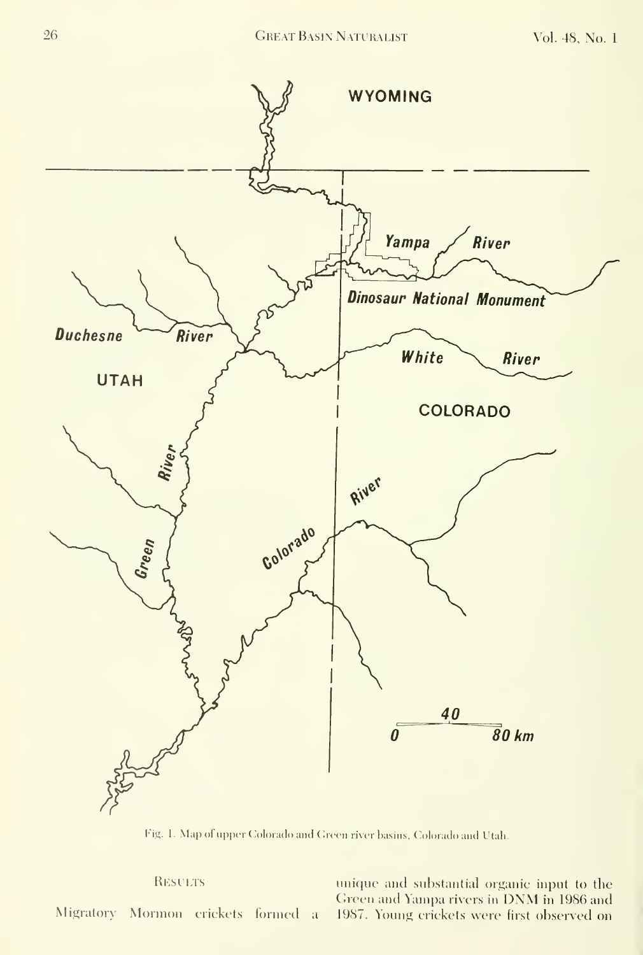

Fig. 1. Map of upper Colorado and Green river basins, Colorado and Utah.

RESULTS unique and substantial organic input to the Green and Yampa rivers in DNM in 1986 and Migratory Mormon erickets formed a 1987. Young erickets were first observed on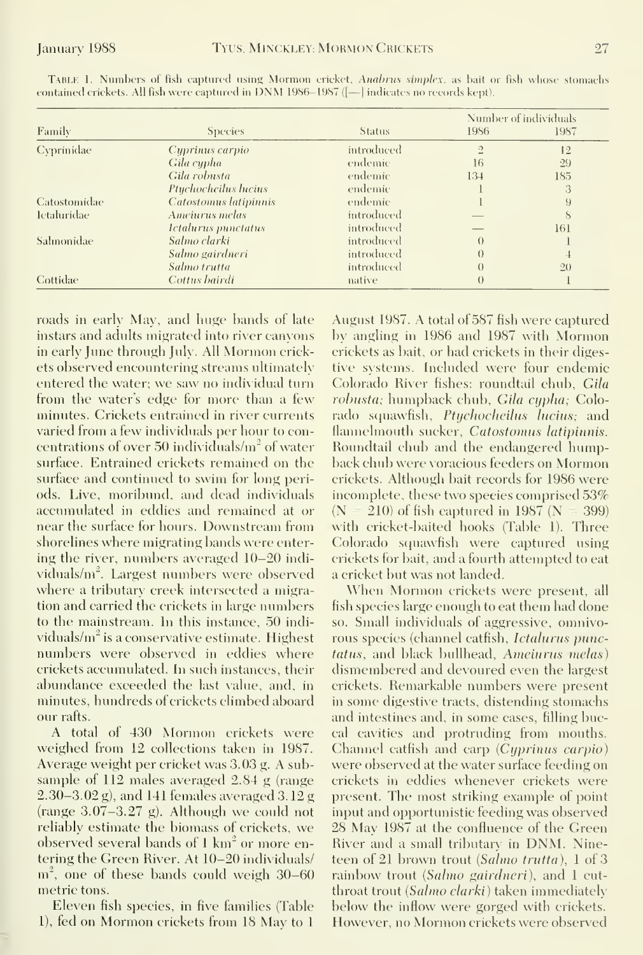| Family       | <b>Species</b>                           | <b>Status</b> | Number of individuals |               |
|--------------|------------------------------------------|---------------|-----------------------|---------------|
|              |                                          |               | <b>1986</b>           | 1987          |
| Cvprinidae   | Cyprinus carpio                          | introduced    | $\overline{2}$        | 12            |
|              | Gila cypha                               | endemic       | 16                    | 29            |
|              | Gila robusta                             | endemic       | 134                   | 185           |
|              | Ptychocheilus lucius                     | endemic       |                       | 3             |
| Catostomidae | Catostomus latipinnis                    | endemic       |                       | 9             |
| 1ctaluridae  | Ameiurus melas                           | introduced    |                       | $\mathcal{S}$ |
|              | <i><u><b>Ictalurus punctatus</b></u></i> | introduced    |                       | 161           |
| Salmonidae   | Salmo clarki                             | introduced    | $\theta$              |               |
|              | Salmo gairdneri                          | introduced    | $\theta$              |               |
|              | Salmo trutta                             | introduced    | $\theta$              | 20            |
| Cottidae     | Cottus bairdi                            | native        | $\theta$              |               |
|              |                                          |               |                       |               |

TABLE 1. Numbers of fish captured using Mormon cricket, Anabrus simplex, as bait or fish whose stomachs eontained crickets. All fish were captured in DNM 1986-1987 ([- ] indicates no records kept).

roads in early May, and huge bands of late instars and adults migrated into river canvons in early June through July. All Mormon crickets observed encountering streams ultimately entered the water; we saw no individual turn from the water's edge for more than a few minutes. Crickets entrained in river currents varied from a few individuals per hour to concentrations of over 50 individuals/m<sup>2</sup> of water surface. Entrained crickets remained on the surface and continued to swim for long periods. Live, moribund, and dead individuals accumulated in eddies and remained at or near the surface for hours. Downstream from shorelines where migrating bands were entering the river, numbers averaged 10–20 individuals/m<sup>2</sup>. Largest numbers were observed where a tributary creek intersected a migration and earried the crickets in large numbers to the mainstream. In this instance, 50 individuals/ $m^2$  is a conservative estimate. Highest numbers were observed in eddies where crickets accumulated. In such instances, their abundance exceeded the last value, and, in minutes, hundreds of crickets climbed aboard our rafts.

A total of 430 Mormon erickets were weighed from 12 collections taken in 1987. Average weight per cricket was 3.03 g. A subsample of  $112$  males averaged  $2.84$  g (range  $(2.30-3.02 \text{ g})$ , and 141 females averaged 3.12 g (range  $3.07-3.27$  g). Although we could not reliably estimate the biomass of crickets, we observed several bands of 1 km<sup>2</sup> or more entering the Green River. At 10-20 individuals/  $m<sup>2</sup>$ , one of these bands could weigh 30–60 metric tons.

Eleven fish species, in five families (Table 1), fed on Mormon crickets from 18 May to 1

August 1987. A total of 587 fish were captured by angling in 1986 and 1987 with Mormon erickets as bait, or had crickets in their digestive systems. Included were four endemic Colorado River fishes: roundtail chub, Gila robusta; humpback chub, Gila cypha; Colorado squawfish, Ptychocheilus lucius; and flannelmouth sucker, Catostomus latipinnis. Roundtail chub and the endangered humpback chub were voracious feeders on Mormon crickets. Although bait records for 1986 were incomplete, these two species comprised 53%  $(N<sup>2</sup>)$ 210) of fish captured in 1987 ( $N = 399$ ) with cricket-baited hooks (Table 1). Three Colorado squawfish were captured using crickets for bait, and a fourth attempted to eat a cricket but was not landed.

When Mormon crickets were present, all fish species large enough to eat them had done so. Small individuals of aggressive, omnivorous species (channel catfish, Ictalurus punc*tatus*, and black bullhead, *Ameiurus melas*) dismembered and devoured even the largest crickets. Remarkable numbers were present in some digestive tracts, distending stomachs and intestines and, in some cases, filling buccal cavities and protruding from mouths. Channel catfish and carp (Cyprinus carpio) were observed at the water surface feeding on crickets in eddies whenever crickets were present. The most striking example of point input and opportunistic feeding was observed 28 May 1987 at the confluence of the Green River and a small tributary in DNM. Nineteen of 21 brown trout *(Salmo trutta)*, 1 of 3 rainbow trout (Salmo gairdneri), and 1 cutthroat trout (Salmo clarki) taken immediately below the inflow were gorged with crickets. However, no Mormon crickets were observed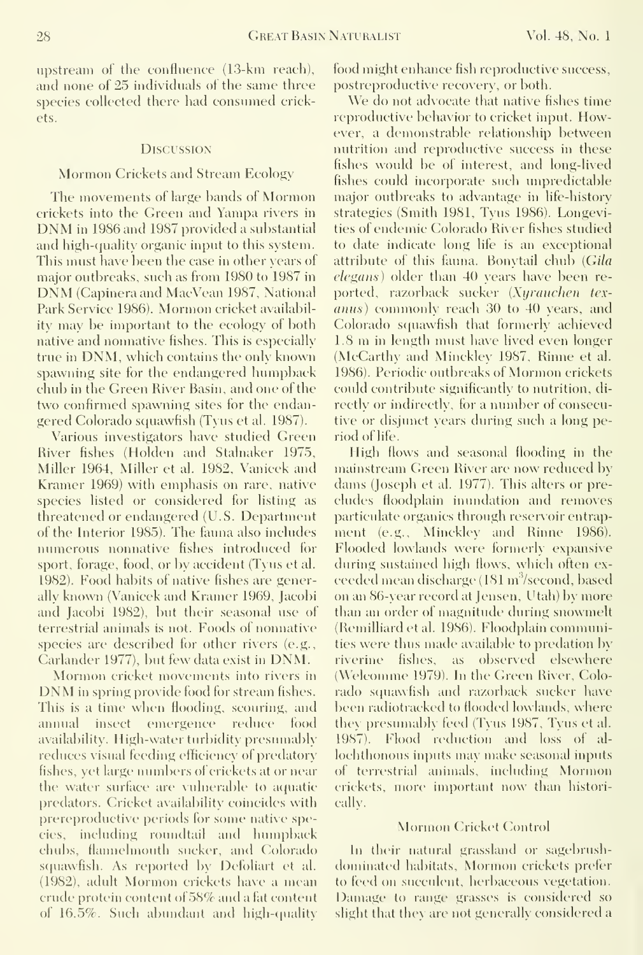upstream of the confluence (13-km reach), and none of 25 individuals of the same three species collected there had consumed crickets.

#### **DISCUSSION**

#### Mormon Crickets and Stream Ecology

The movements of large bands of Mormon crickets into the Green and Yampa rivers in DNM in <sup>1986</sup> and <sup>1987</sup> provided <sup>a</sup> substantial and high-quality organic input to this system. This must have been the case in other years of major outbreaks, such as from <sup>1980</sup> to <sup>1987</sup> in DNM (Gapineraand MacVean 1987, National Park Service 1986). Mormon cricket availability may be important to the ecology of both native and nonnative fishes. This is especially true in DNM, which contains the only known spawning site for the endangered humpback chub in the Green River Basin, and one of the two confirmed spawning sites for the endangered Colorado squawfish (Tyus et al. 1987).

Various investigators have studied Green River fishes (Holden and Stalnaker 1975, Miller 1964, Miller et al. 1982, Vanicek and Kramer 1969) with emphasis on rare, native species listed or considered for listing as threatened or endangered (U.S. Department of the Interior 1985). The fauna also includes numerous nonnative fishes introduced for sport, forage, food, or by accident (Tyus et al. 1982). Food habits of native fishes are generally known (Vanicek and Kramer 1969, Jacobi and Jacobi 1982), but their seasonal use of terrestrial animals is not. Foods of nonnative species are described for other rivers (e.g., Carlander 1977), but few data exist in DNM.

DNM in spring provide food for stream fishes. This is <sup>a</sup> time when flooding, scouring, and annual insect emergence reduce food availability. High-water turbidity presumably reduces visual feeding efficiency of predatory fishes, yet large numbers of crickets at or near the water surface are vulnerable to aquatic predators. Cricket availability coincides with prereproductive periods lor some native species, including roimdtail and humpback chubs, flaimelmouth sucker, and Colorado squawfish. As reported by Defoliart et al. (1982), adult Mormon crickets have <sup>a</sup> mean erude protein content of 58% and a fat content of  $16.5\%$ . Such abundant and high-quality food might enhance fish reproductive success, postreproductive recovery, or both.

We do not advocate that native fishes time reproductive behavior to cricket input. However, a demonstrable relationship between nutrition and reproductixe success in these fishes would be of interest, and long-lived fishes could incorporate such unpredictable major outbreaks to advantage in life-history strategies (Smith 1981, Tyus 1986). Longevities of endemic Colorado River fishes studied to date indicate long life is an exceptional attribute of this fauna. Bonytail chub (Gila elegans) older than 40 years have been re ported, razorback sucker (Xyrauchen texanus) commonly reach 30 to 40 years, and Colorado squawfish that formerly achieved 1.8 m in length must have lived even longer (McCarthy and Minckley 1987, Rinne et al. 1986). Periodic outbreaks of Mormon crickets could contribute significantly to nutrition, di rectly or indirectly, tor <sup>a</sup> number of consecutive or disjunct years during such a long period of life.

High Hows and seasonal flooding in the mainstream Green River are now reduced by dams (Joseph et al. 1977). This alters or pre cludes floodplain inundation and removes particulate organics through reservoir entrapment (e.g., Minckley and Rinne 1986). Flooded lowlands were formerly expansive during sustained high flows, which often ex ceeded mean discharge (181 m<sup>3</sup>/second, based on an 86-year record at Jensen, Utah) by more than an order of magnitude during snowmelt (Remilliard et al. 1986). Floodplain connnunities were thus made available to predation by riverine fishes, as observed elsewhere (Welcomme 1979). In the Green River, Colorado squawfish and razorback sucker have been radiotracked to flooded lowlands, where they presumably feed (Tyus 1987, Tyus et al. 1987). Flood reduction and loss of al lochthonous inputs may make seasonal inputs of terrestrial animals, including Mormon crickets, more important now than historically.

#### Mormon Cricket Control

In their natural grassland or sagebrushdominated habitats. Mormon crickets prefer to feed on succulent, herbaceous vegetation. Damage to range grasses is considered so slight that they are not generally considered a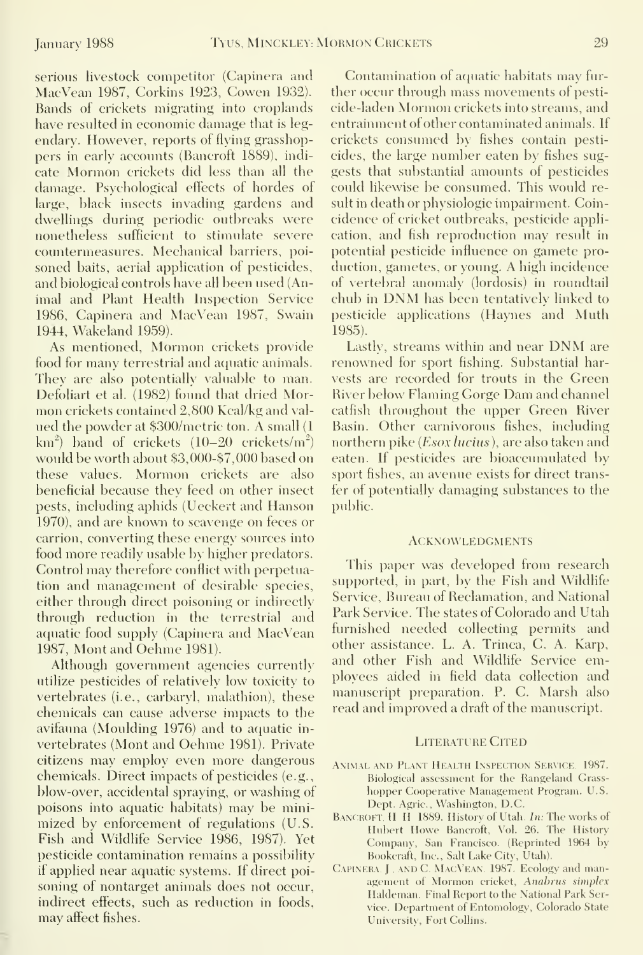serious livestock competitor (Capinera and MacVean 1987, Corkins 1923, Cowen 1932). Bands of crickets migrating into croplands have resulted in economic damage that is legendary. However, reports of flying grasshoppers in early accounts (Bancroft 1889), indi cate Mormon crickets did less than all the damage. Psychological effects of hordes of large, black insects invading gardens and dwellings during periodic outbreaks were nonetheless sufficient to stimulate severe countermeasures. Mechanical barriers, poisoned baits, aerial application of pesticides, and biological controls have all been used (Animal and Plant Health Inspection Service 1986, Capinera and MacVean 1987, Swain 1944, Wakeland 1959).

As mentioned. Mormon crickets provide food for many terrestrial and aquatic animals. They are also potentially valuable to man. Defoliart et al. (1982) found that dried Mormon crickets contained 2,800 Kcal/kg and val ued the powder at \$300/metric ton. A small (1  $km<sup>2</sup>$  band of crickets (10–20 crickets/m<sup>2</sup>) would be worth about \$3,000-\$7,000 based on these values. Mormon crickets are also beneficial because they feed on other insect pests, including aphids (Ueckert and Hanson 1970), and are known to scavenge on feces or carrion, converting these energy sources into food more readily usable by higher predators. Control may therefore conflict with perpetuation and management of desirable species, either through direct poisoning or indirectly through reduction in the terrestrial and aquatic food supply (Capinera and MacVean 1987, Mont and Oehme 1981).

Although government agencies currently utilize pesticides of relatively low toxicity to vertebrates (i.e., carbaryl, malathion), these chemicals can cause adverse impacts to the avifauna (Moulding 1976) and to aquatic in vertebrates (Mont and Oehme 1981). Private citizens may employ even more dangerous chemicals. Direct impacts of pesticides (e.g., blow-over, accidental spraying, or washing of poisons into aquatic habitats) may be minimized by enforcement of regulations (U.S. Fish and Wildlife Service 1986, 1987). Yet pesticide contamination remains a possibility if applied near aquatic systems. If direct poisoning of nontarget animals does not occur, indirect effects, such as reduction in foods, may affect fishes.

Contamination of aquatic habitats may fur ther occur through mass movements of pesticide-laden Mormon crickets into streams, and entrainment of other contaminated animals. If crickets consumed by fishes contain pesticides, the large number eaten by fishes suggests that substantial amounts of pesticides could likewise be consumed. This would result in death or physiologic impairment. Coincidence of cricket outbreaks, pesticide application, and fish reproduction may result in potential pesticide influence on gamete production, gametes, or young. A high incidence of vertebral anomaly (lordosis) in roundtail chub in DNM has been tentatively linked to pesticide applications (Haynes and Muth 1985).

Lastly, streams within and near DNM arerenowned for sport fishing. Substantial harvests are recorded for trouts in the Green River below Flaming Gorge Dam and channel catfish throughout the upper Green River Basin. Other carnivorous fishes, including northern pike (*Esox lucius*), are also taken and eaten. If pesticides are bioaccumulated by sport fishes, an avenue exists for direct transfer of potentially damaging substances to the public.

#### **ACKNOWLEDGMENTS**

This paper was developed from research supported, in part, by the Fish and Wildlife Service, Bureau of Reclamation, and National Park Service. The states of Colorado and Utah furnished needed collecting permits and other assistance. L. A. Trinca, C. A. Karp, and other Fish and Wildlife Service employees aided in field data collection and manuscript preparation. P. C. Marsh also read and improved a draft of the manuscript.

#### Literature Cited

- ANIMAL AND PLANT HEALTH INSPECTION SERVICE. 1987. Biological assessment for the Rangeland Grass hopper Cooperative Management Program. U.S. Dept. Agric., Washington, D.C.
- BANCROFT, H, H, 1889. History of Utah. In: The works of Hubert Howe Bancroft, Vol. 26. The History Company, San Francisco. (Reprinted 1964 by Bookcraft, Inc., Salt Lake City, Utah).
- Capinera. <sup>J</sup> , andC MacVean. 1987. Ecology and management of Mormon cricket, Anabrus simplex Haldeman. Final Report to the National Park Service. Department of Entomology, Colorado State University, Fort Collins.